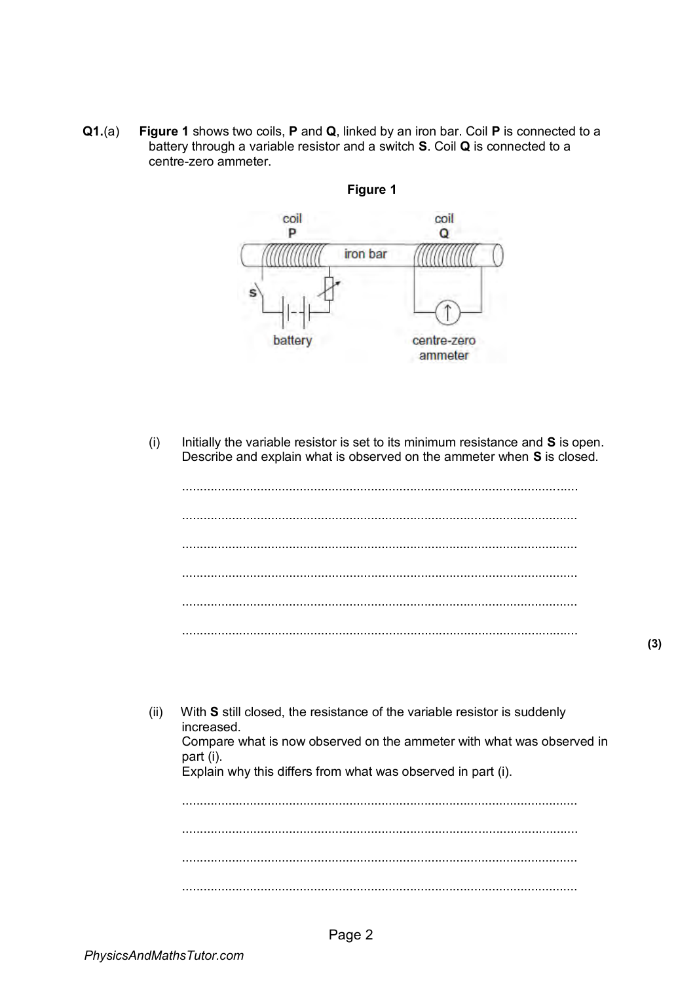$Q1.(a)$ Figure 1 shows two coils, P and Q, linked by an iron bar. Coil P is connected to a battery through a variable resistor and a switch S. Coil Q is connected to a centre-zero ammeter.



Figure 1

Initially the variable resistor is set to its minimum resistance and S is open.  $(i)$ Describe and explain what is observed on the ammeter when S is closed.

 $(ii)$ With S still closed, the resistance of the variable resistor is suddenly increased. Compare what is now observed on the ammeter with what was observed in part (i). Explain why this differs from what was observed in part (i).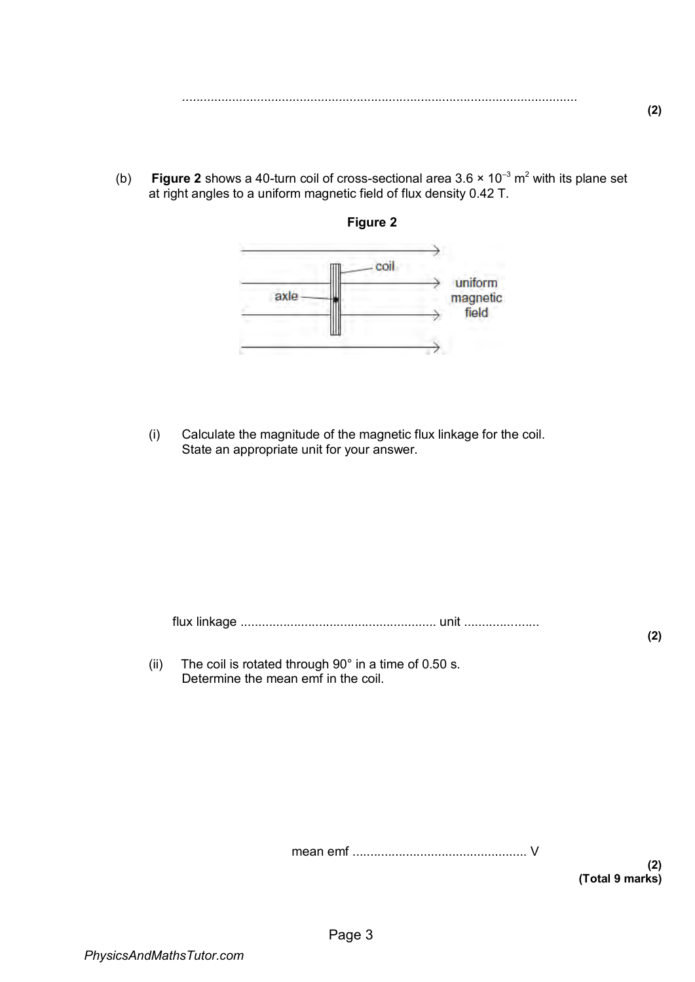- ...............................................................................................................
- (b) **Figure 2** shows a 40-turn coil of cross-sectional area 3.6  $\times$  10<sup>-3</sup> m<sup>2</sup> with its plane set at right angles to a uniform magnetic field of flux density 0.42 T.



(i) Calculate the magnitude of the magnetic flux linkage for the coil. State an appropriate unit for your answer.

flux linkage ....................................................... unit .....................

(ii) The coil is rotated through  $90^\circ$  in a time of 0.50 s. Determine the mean emf in the coil.

mean emf ................................................. V

**(2) (Total 9 marks)** 

**(2)**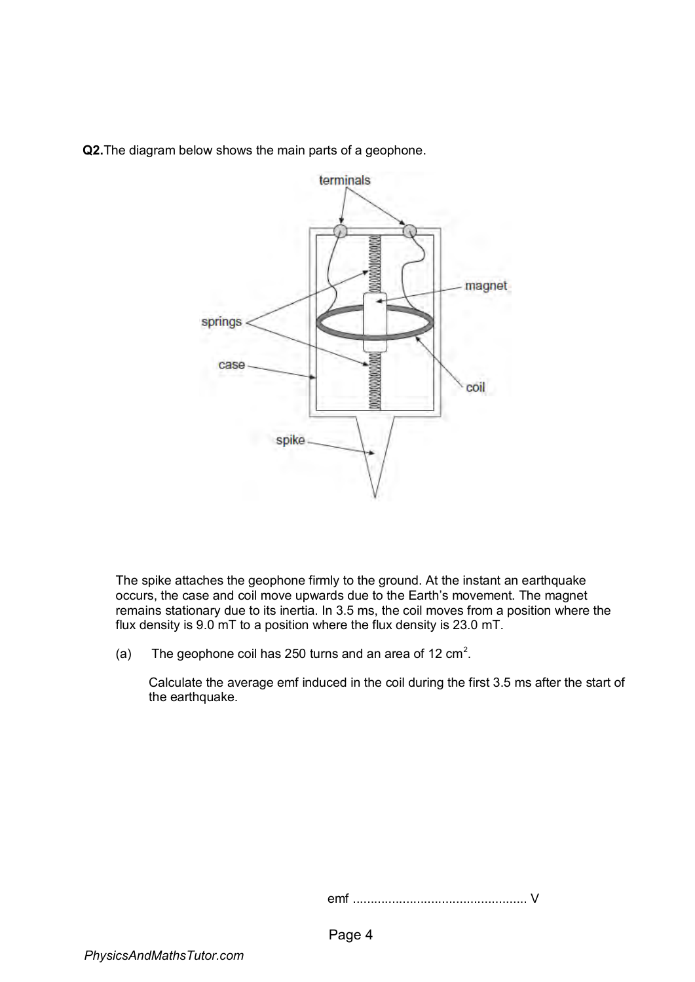**Q2.**The diagram below shows the main parts of a geophone.



The spike attaches the geophone firmly to the ground. At the instant an earthquake occurs, the case and coil move upwards due to the Earth's movement. The magnet remains stationary due to its inertia. In 3.5 ms, the coil moves from a position where the flux density is 9.0 mT to a position where the flux density is 23.0 mT.

(a) The geophone coil has 250 turns and an area of 12  $\text{cm}^2$ .

Calculate the average emf induced in the coil during the first 3.5 ms after the start of the earthquake.

emf ................................................. V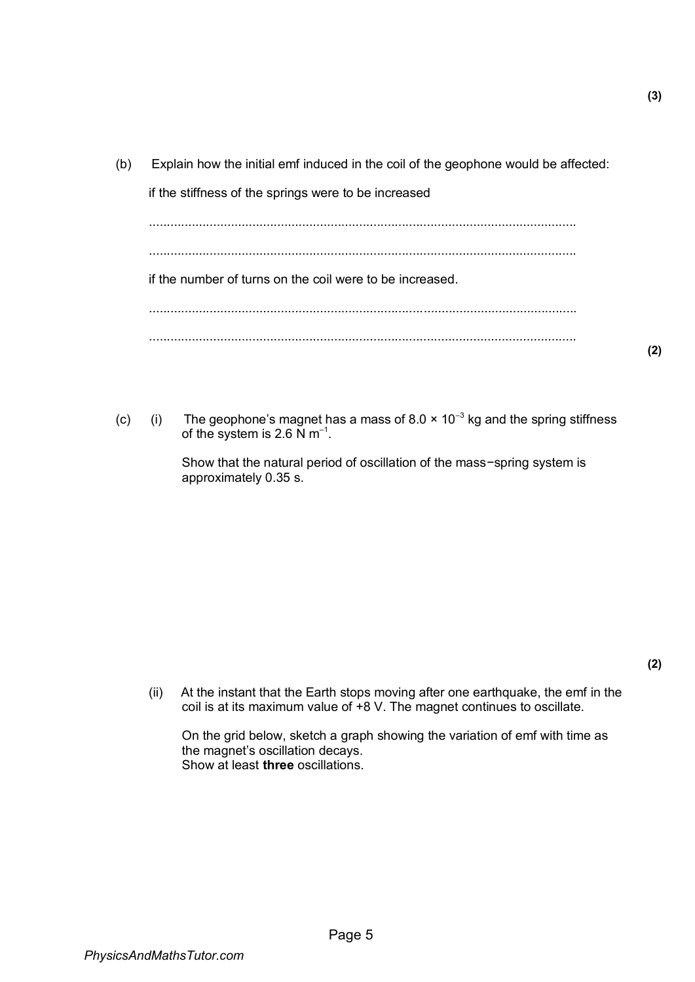(b) Explain how the initial emf induced in the coil of the geophone would be affected:

if the stiffness of the springs were to be increased

........................................................................................................................ ........................................................................................................................ if the number of turns on the coil were to be increased. ........................................................................................................................ ........................................................................................................................

(c) (i) The geophone's magnet has a mass of 8.0  $\times$  10<sup>-3</sup> kg and the spring stiffness of the system is 2.6 N m<sup>-1</sup>.

> Show that the natural period of oscillation of the mass−spring system is approximately 0.35 s.

(ii) At the instant that the Earth stops moving after one earthquake, the emf in the coil is at its maximum value of +8 V. The magnet continues to oscillate.

On the grid below, sketch a graph showing the variation of emf with time as the magnet's oscillation decays. Show at least **three** oscillations.

**(2)** 

**(2)**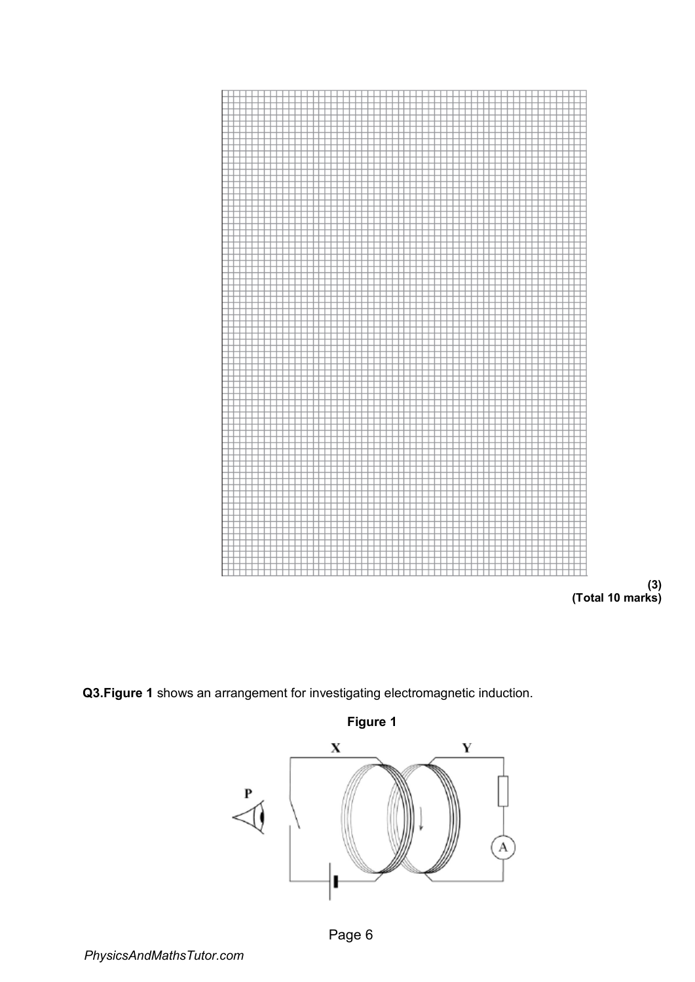

**(3) (Total 10 marks)** 

**Q3.Figure 1** shows an arrangement for investigating electromagnetic induction.

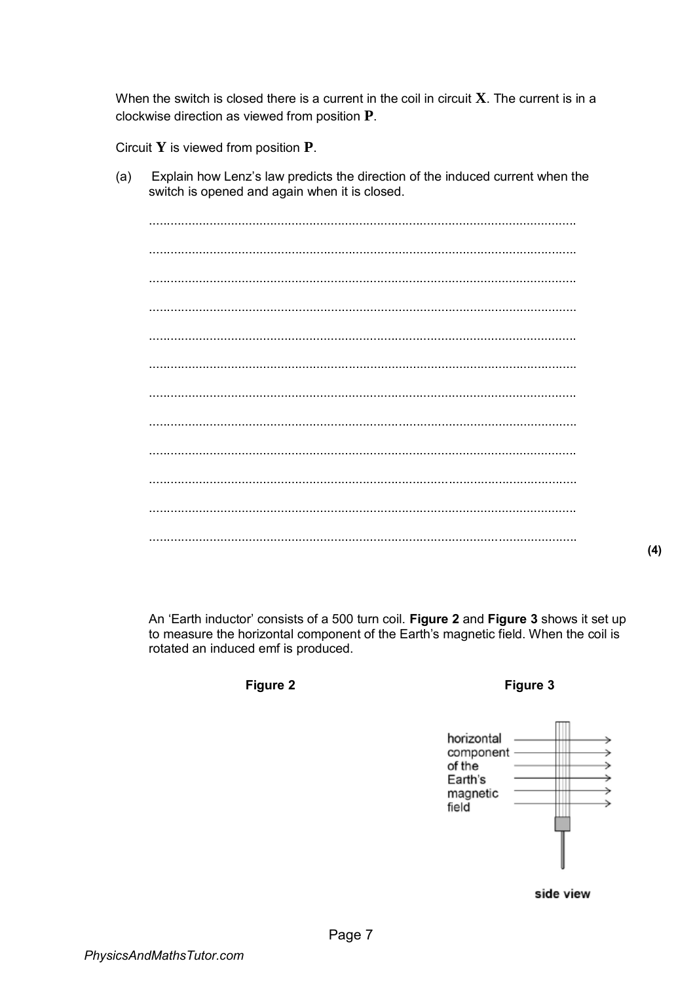When the switch is closed there is a current in the coil in circuit  $X$ . The current is in a clockwise direction as viewed from position  $P$ .

Circuit  $Y$  is viewed from position  $P$ .

Explain how Lenz's law predicts the direction of the induced current when the  $(a)$ switch is opened and again when it is closed.

 $(4)$ 

An 'Earth inductor' consists of a 500 turn coil. Figure 2 and Figure 3 shows it set up to measure the horizontal component of the Earth's magnetic field. When the coil is rotated an induced emf is produced.

Figure 2

Figure 3

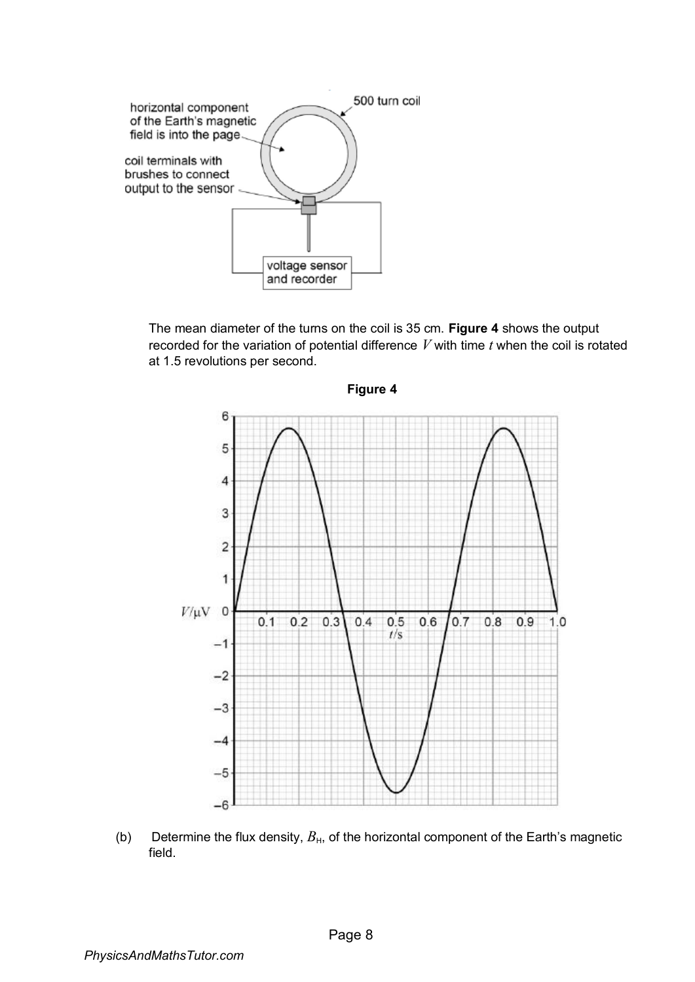

The mean diameter of the turns on the coil is 35 cm. **Figure 4** shows the output recorded for the variation of potential difference *V* with time *t* when the coil is rotated at 1.5 revolutions per second.



(b) Determine the flux density,  $B_{H}$ , of the horizontal component of the Earth's magnetic field.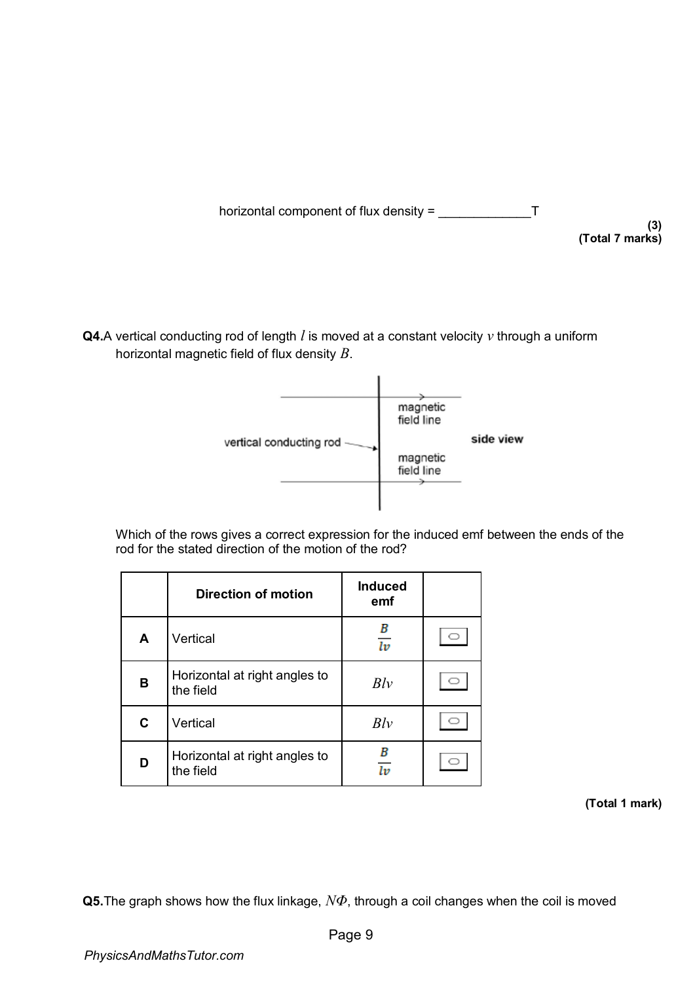

**(3) (Total 7 marks)** 

**Q4.**A vertical conducting rod of length *l* is moved at a constant velocity *v* through a uniform horizontal magnetic field of flux density *B*.



Which of the rows gives a correct expression for the induced emf between the ends of the rod for the stated direction of the motion of the rod?

|   | <b>Direction of motion</b>                 | <b>Induced</b><br>emf |  |
|---|--------------------------------------------|-----------------------|--|
| A | Vertical                                   | В<br>$\overline{lv}$  |  |
| B | Horizontal at right angles to<br>the field | Blv                   |  |
| C | Vertical                                   | Blv                   |  |
| D | Horizontal at right angles to<br>the field | В<br>ŀв               |  |

**(Total 1 mark)** 

**Q5.**The graph shows how the flux linkage, *NΦ*, through a coil changes when the coil is moved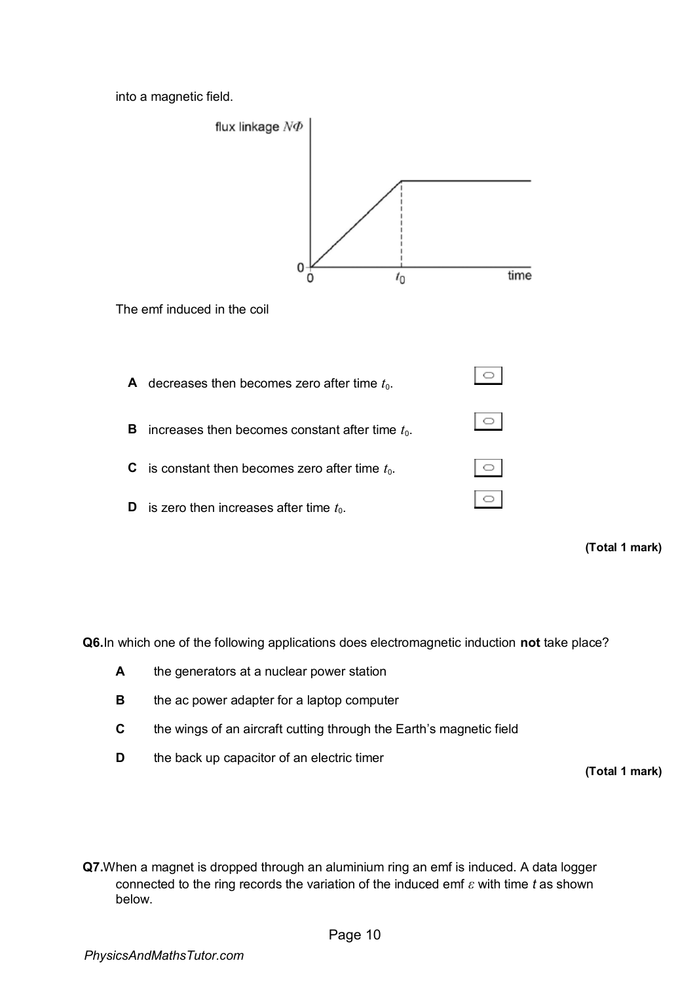into a magnetic field.



**(Total 1 mark)** 

**Q6.**In which one of the following applications does electromagnetic induction **not** take place?

- **A** the generators at a nuclear power station
- **B** the ac power adapter for a laptop computer
- **C** the wings of an aircraft cutting through the Earth's magnetic field
- **D** the back up capacitor of an electric timer

**(Total 1 mark)**

**Q7.**When a magnet is dropped through an aluminium ring an emf is induced. A data logger connected to the ring records the variation of the induced emf *ε* with time *t* as shown below.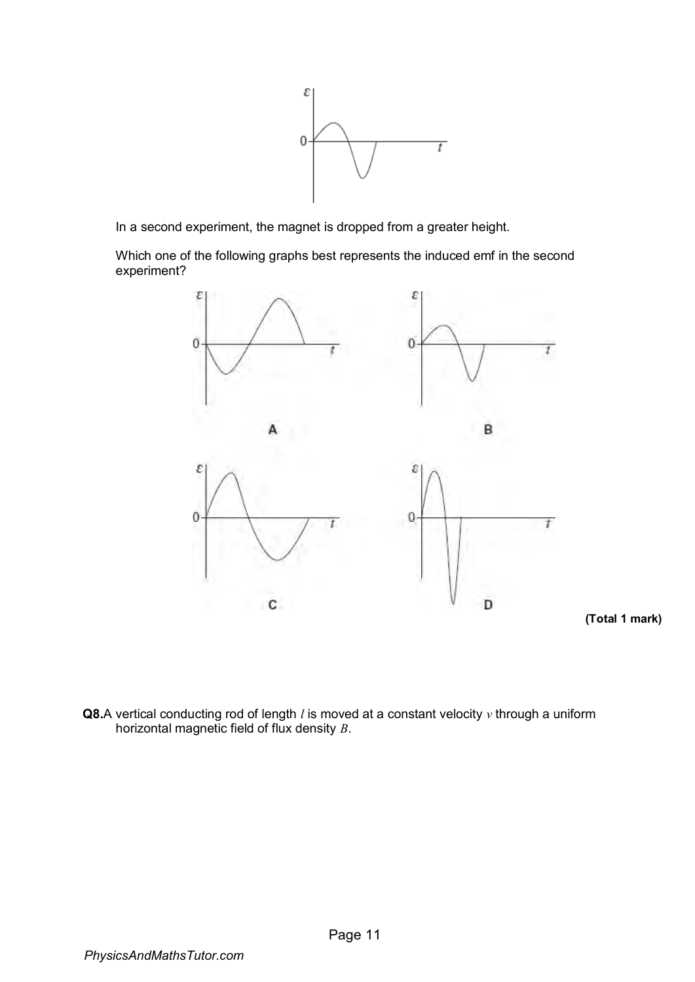

In a second experiment, the magnet is dropped from a greater height.

Which one of the following graphs best represents the induced emf in the second experiment?



**(Total 1 mark)** 

**Q8.**A vertical conducting rod of length *l* is moved at a constant velocity *v* through a uniform horizontal magnetic field of flux density *B*.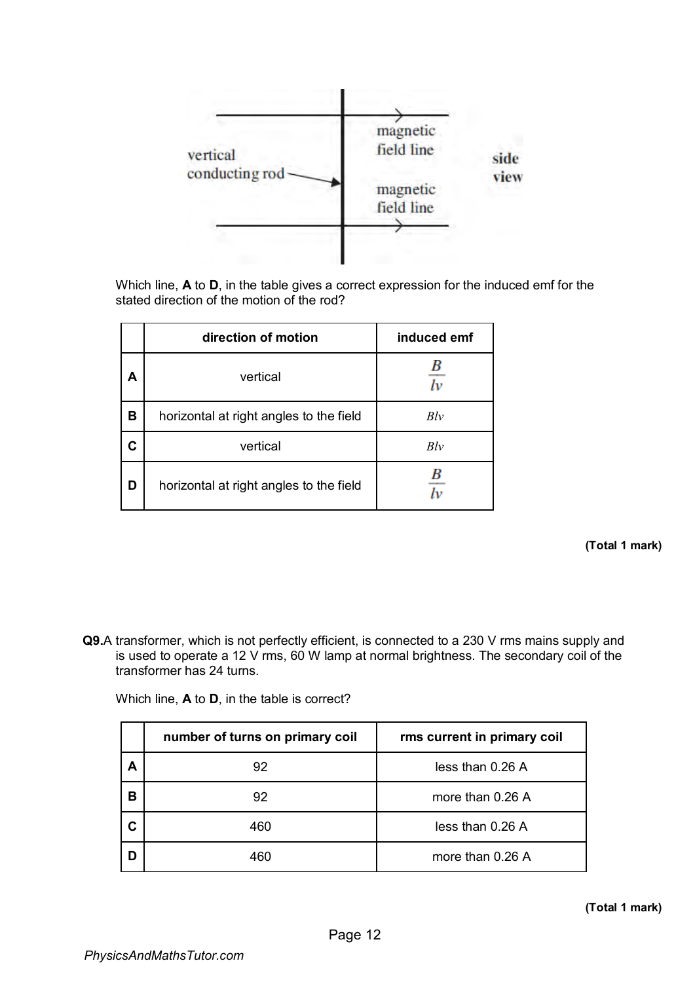

Which line, **A** to **D**, in the table gives a correct expression for the induced emf for the stated direction of the motion of the rod?

|   | direction of motion                     | induced emf |
|---|-----------------------------------------|-------------|
| А | vertical                                |             |
| в | horizontal at right angles to the field | Blv         |
| C | vertical                                | Blv         |
| D | horizontal at right angles to the field |             |

## **(Total 1 mark)**

**Q9.**A transformer, which is not perfectly efficient, is connected to a 230 V rms mains supply and is used to operate a 12 V rms, 60 W lamp at normal brightness. The secondary coil of the transformer has 24 turns.

Which line, **A** to **D**, in the table is correct?

|    | number of turns on primary coil | rms current in primary coil |
|----|---------------------------------|-----------------------------|
| А  | 92                              | less than 0.26 A            |
| в  | 92                              | more than 0.26 A            |
| C. | 460                             | less than 0.26 A            |
|    | 460                             | more than 0.26 A            |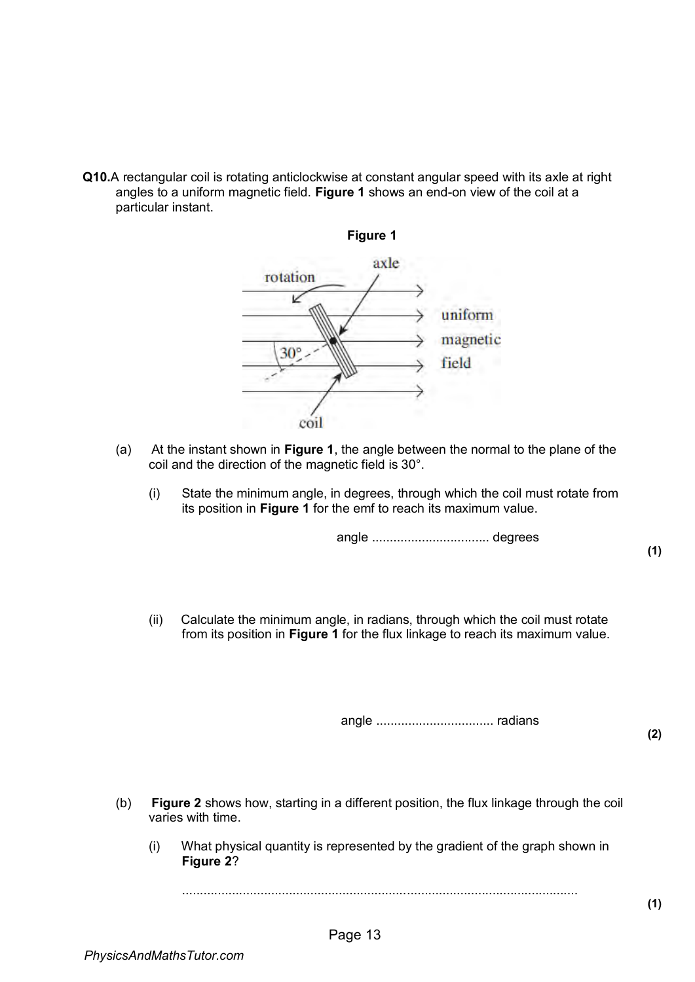**Q10.**A rectangular coil is rotating anticlockwise at constant angular speed with its axle at right angles to a uniform magnetic field. **Figure 1** shows an end-on view of the coil at a particular instant.



- (a) At the instant shown in **Figure 1**, the angle between the normal to the plane of the coil and the direction of the magnetic field is 30°.
	- (i) State the minimum angle, in degrees, through which the coil must rotate from its position in **Figure 1** for the emf to reach its maximum value.

angle ................................. degrees

(ii) Calculate the minimum angle, in radians, through which the coil must rotate from its position in **Figure 1** for the flux linkage to reach its maximum value.

angle ................................. radians

**(2)** 

**(1)** 

- (b) **Figure 2** shows how, starting in a different position, the flux linkage through the coil varies with time.
	- (i) What physical quantity is represented by the gradient of the graph shown in **Figure 2**?

...............................................................................................................